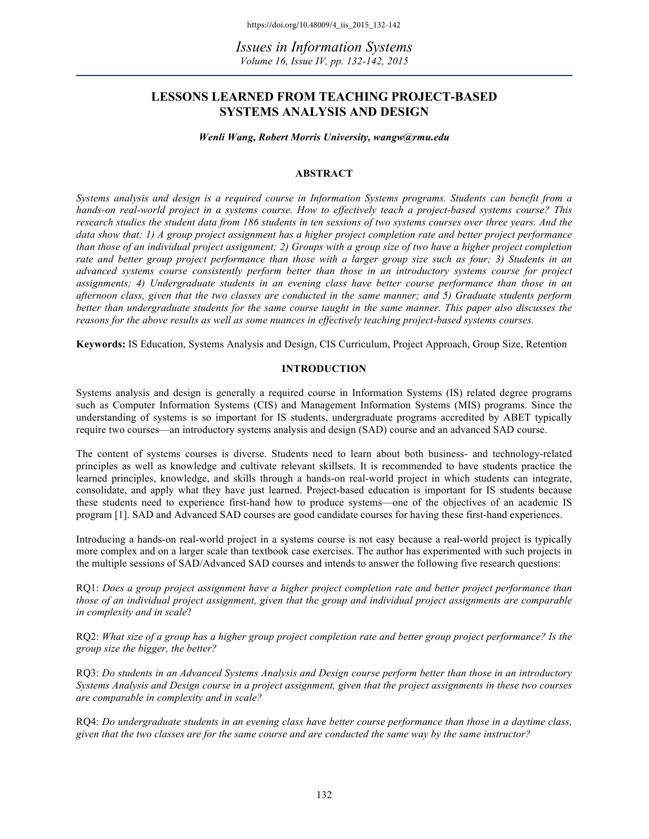*Issues in Information Systems Volume 16, Issue IV, pp. 132-142, 2015*

## **LESSONS LEARNED FROM TEACHING PROJECT-BASED SYSTEMS ANALYSIS AND DESIGN**

*Wenli Wang, Robert Morris University, wangw@rmu.edu*

## **ABSTRACT**

*Systems analysis and design is a required course in Information Systems programs. Students can benefit from a hands-on real-world project in a systems course. How to effectively teach a project-based systems course? This research studies the student data from 186 students in ten sessions of two systems courses over three years. And the data show that: 1) A group project assignment has a higher project completion rate and better project performance than those of an individual project assignment; 2) Groups with a group size of two have a higher project completion rate and better group project performance than those with a larger group size such as four; 3) Students in an advanced systems course consistently perform better than those in an introductory systems course for project assignments; 4) Undergraduate students in an evening class have better course performance than those in an afternoon class, given that the two classes are conducted in the same manner; and 5) Graduate students perform better than undergraduate students for the same course taught in the same manner. This paper also discusses the reasons for the above results as well as some nuances in effectively teaching project-based systems courses.*

**Keywords:** IS Education, Systems Analysis and Design, CIS Curriculum, Project Approach, Group Size, Retention

## **INTRODUCTION**

Systems analysis and design is generally a required course in Information Systems (IS) related degree programs such as Computer Information Systems (CIS) and Management Information Systems (MIS) programs. Since the understanding of systems is so important for IS students, undergraduate programs accredited by ABET typically require two courses—an introductory systems analysis and design (SAD) course and an advanced SAD course.

The content of systems courses is diverse. Students need to learn about both business- and technology-related principles as well as knowledge and cultivate relevant skillsets. It is recommended to have students practice the learned principles, knowledge, and skills through a hands-on real-world project in which students can integrate, consolidate, and apply what they have just learned. Project-based education is important for IS students because these students need to experience first-hand how to produce systems—one of the objectives of an academic IS program [1]. SAD and Advanced SAD courses are good candidate courses for having these first-hand experiences.

Introducing a hands-on real-world project in a systems course is not easy because a real-world project is typically more complex and on a larger scale than textbook case exercises. The author has experimented with such projects in the multiple sessions of SAD/Advanced SAD courses and intends to answer the following five research questions:

RQ1: *Does a group project assignment have a higher project completion rate and better project performance than those of an individual project assignment, given that the group and individual project assignments are comparable in complexity and in scale*?

RQ2: *What size of a group has a higher group project completion rate and better group project performance? Is the group size the bigger, the better?*

RQ3: *Do students in an Advanced Systems Analysis and Design course perform better than those in an introductory Systems Analysis and Design course in a project assignment, given that the project assignments in these two courses are comparable in complexity and in scale?*

RQ4: *Do undergraduate students in an evening class have better course performance than those in a daytime class, given that the two classes are for the same course and are conducted the same way by the same instructor?*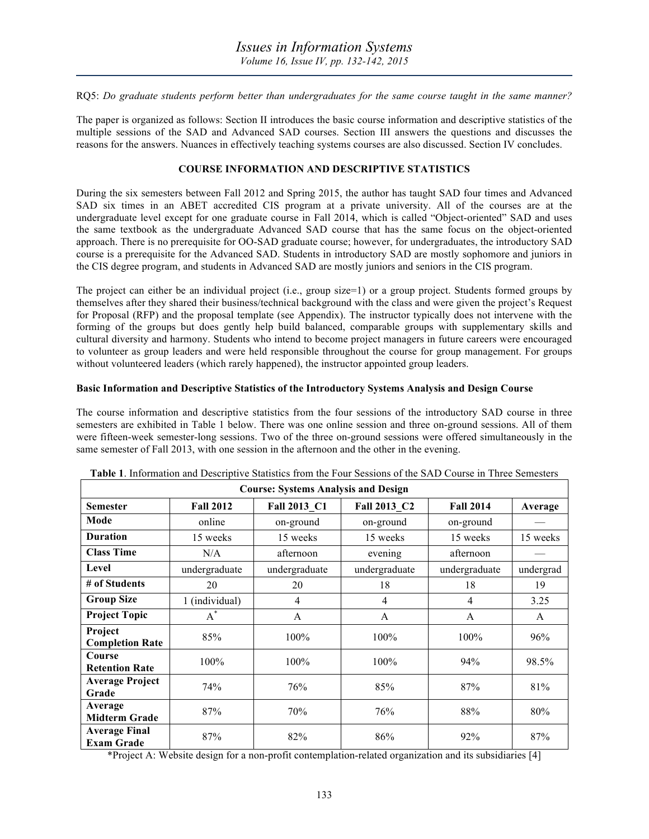RQ5: *Do graduate students perform better than undergraduates for the same course taught in the same manner?*

The paper is organized as follows: Section II introduces the basic course information and descriptive statistics of the multiple sessions of the SAD and Advanced SAD courses. Section III answers the questions and discusses the reasons for the answers. Nuances in effectively teaching systems courses are also discussed. Section IV concludes.

## **COURSE INFORMATION AND DESCRIPTIVE STATISTICS**

During the six semesters between Fall 2012 and Spring 2015, the author has taught SAD four times and Advanced SAD six times in an ABET accredited CIS program at a private university. All of the courses are at the undergraduate level except for one graduate course in Fall 2014, which is called "Object-oriented" SAD and uses the same textbook as the undergraduate Advanced SAD course that has the same focus on the object-oriented approach. There is no prerequisite for OO-SAD graduate course; however, for undergraduates, the introductory SAD course is a prerequisite for the Advanced SAD. Students in introductory SAD are mostly sophomore and juniors in the CIS degree program, and students in Advanced SAD are mostly juniors and seniors in the CIS program.

The project can either be an individual project (i.e., group size=1) or a group project. Students formed groups by themselves after they shared their business/technical background with the class and were given the project's Request for Proposal (RFP) and the proposal template (see Appendix). The instructor typically does not intervene with the forming of the groups but does gently help build balanced, comparable groups with supplementary skills and cultural diversity and harmony. Students who intend to become project managers in future careers were encouraged to volunteer as group leaders and were held responsible throughout the course for group management. For groups without volunteered leaders (which rarely happened), the instructor appointed group leaders.

#### **Basic Information and Descriptive Statistics of the Introductory Systems Analysis and Design Course**

The course information and descriptive statistics from the four sessions of the introductory SAD course in three semesters are exhibited in Table 1 below. There was one online session and three on-ground sessions. All of them were fifteen-week semester-long sessions. Two of the three on-ground sessions were offered simultaneously in the same semester of Fall 2013, with one session in the afternoon and the other in the evening.

| <b>Course: Systems Analysis and Design</b> |                  |               |               |                  |           |  |
|--------------------------------------------|------------------|---------------|---------------|------------------|-----------|--|
| <b>Semester</b>                            | <b>Fall 2012</b> | Fall 2013 C1  | Fall 2013 C2  | <b>Fall 2014</b> | Average   |  |
| Mode                                       | online           | on-ground     | on-ground     | on-ground        |           |  |
| <b>Duration</b>                            | 15 weeks         | 15 weeks      | 15 weeks      | 15 weeks         | 15 weeks  |  |
| <b>Class Time</b>                          | N/A              | afternoon     | evening       | afternoon        |           |  |
| Level                                      | undergraduate    | undergraduate | undergraduate | undergraduate    | undergrad |  |
| # of Students                              | 20               | 20            | 18            | 18               | 19        |  |
| <b>Group Size</b>                          | 1 (individual)   | 4             | 4             | 4                | 3.25      |  |
| <b>Project Topic</b>                       | $A^*$            | A             | A             | A                | A         |  |
| Project<br><b>Completion Rate</b>          | 85%              | 100%          | 100%          | 100%             | 96%       |  |
| Course<br><b>Retention Rate</b>            | 100%             | 100%          | 100%          | 94%              | 98.5%     |  |
| <b>Average Project</b><br>Grade            | 74%              | 76%           | 85%           | 87%              | 81%       |  |
| Average<br><b>Midterm Grade</b>            | 87%              | 70%           | 76%           | 88%              | 80%       |  |
| <b>Average Final</b><br><b>Exam Grade</b>  | 87%              | 82%           | 86%           | 92%              | 87%       |  |

| <b>Table 1.</b> Information and Descriptive Statistics from the Four Sessions of the SAD Course in Three Semesters |  |
|--------------------------------------------------------------------------------------------------------------------|--|
|--------------------------------------------------------------------------------------------------------------------|--|

\*Project A: Website design for a non-profit contemplation-related organization and its subsidiaries [4]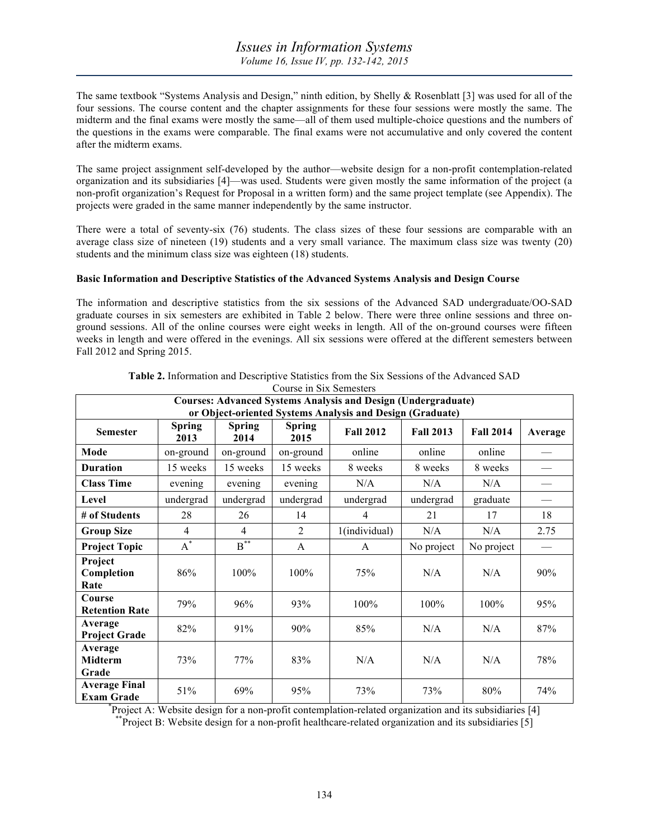The same textbook "Systems Analysis and Design," ninth edition, by Shelly & Rosenblatt [3] was used for all of the four sessions. The course content and the chapter assignments for these four sessions were mostly the same. The midterm and the final exams were mostly the same—all of them used multiple-choice questions and the numbers of the questions in the exams were comparable. The final exams were not accumulative and only covered the content after the midterm exams.

The same project assignment self-developed by the author—website design for a non-profit contemplation-related organization and its subsidiaries [4]—was used. Students were given mostly the same information of the project (a non-profit organization's Request for Proposal in a written form) and the same project template (see Appendix). The projects were graded in the same manner independently by the same instructor.

There were a total of seventy-six (76) students. The class sizes of these four sessions are comparable with an average class size of nineteen (19) students and a very small variance. The maximum class size was twenty (20) students and the minimum class size was eighteen (18) students.

## **Basic Information and Descriptive Statistics of the Advanced Systems Analysis and Design Course**

The information and descriptive statistics from the six sessions of the Advanced SAD undergraduate/OO-SAD graduate courses in six semesters are exhibited in Table 2 below. There were three online sessions and three onground sessions. All of the online courses were eight weeks in length. All of the on-ground courses were fifteen weeks in length and were offered in the evenings. All six sessions were offered at the different semesters between Fall 2012 and Spring 2015.

| <b>Courses: Advanced Systems Analysis and Design (Undergraduate)</b> |                       |                       |                       |                  |                  |                  |         |
|----------------------------------------------------------------------|-----------------------|-----------------------|-----------------------|------------------|------------------|------------------|---------|
| or Object-oriented Systems Analysis and Design (Graduate)            |                       |                       |                       |                  |                  |                  |         |
| <b>Semester</b>                                                      | <b>Spring</b><br>2013 | <b>Spring</b><br>2014 | <b>Spring</b><br>2015 | <b>Fall 2012</b> | <b>Fall 2013</b> | <b>Fall 2014</b> | Average |
| Mode                                                                 | on-ground             | on-ground             | on-ground             | online           | online           | online           |         |
| <b>Duration</b>                                                      | 15 weeks              | 15 weeks              | 15 weeks              | 8 weeks          | 8 weeks          | 8 weeks          |         |
| <b>Class Time</b>                                                    | evening               | evening               | evening               | N/A              | N/A              | N/A              |         |
| Level                                                                | undergrad             | undergrad             | undergrad             | undergrad        | undergrad        | graduate         |         |
| # of Students                                                        | 28                    | 26                    | 14                    | 4                | 21               | 17               | 18      |
| <b>Group Size</b>                                                    | 4                     | 4                     | $\mathfrak{D}$        | 1(individual)    | N/A              | N/A              | 2.75    |
| <b>Project Topic</b>                                                 | $A^*$                 | $B***$                | A                     | A                | No project       | No project       |         |
| Project<br>Completion<br>Rate                                        | 86%                   | 100%                  | 100%                  | 75%              | N/A              | N/A              | 90%     |
| Course<br><b>Retention Rate</b>                                      | 79%                   | 96%                   | 93%                   | 100%             | 100%             | 100%             | 95%     |
| Average<br><b>Project Grade</b>                                      | 82%                   | 91%                   | 90%                   | 85%              | N/A              | N/A              | 87%     |
| Average<br><b>Midterm</b><br>Grade                                   | 73%                   | 77%                   | 83%                   | N/A              | N/A              | N/A              | 78%     |
| <b>Average Final</b><br><b>Exam Grade</b>                            | 51%                   | 69%                   | 95%                   | 73%              | 73%              | 80%              | 74%     |

#### **Table 2.** Information and Descriptive Statistics from the Six Sessions of the Advanced SAD Course in Six Semesters

Project A: Website design for a non-profit contemplation-related organization and its subsidiaries [4]

Project B: Website design for a non-profit healthcare-related organization and its subsidiaries [5]  $*$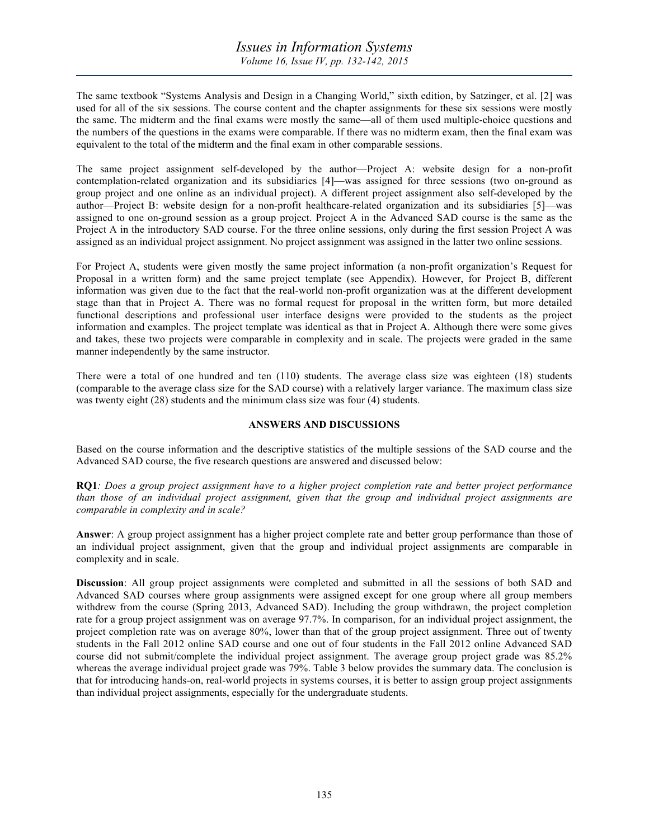The same textbook "Systems Analysis and Design in a Changing World," sixth edition, by Satzinger, et al. [2] was used for all of the six sessions. The course content and the chapter assignments for these six sessions were mostly the same. The midterm and the final exams were mostly the same—all of them used multiple-choice questions and the numbers of the questions in the exams were comparable. If there was no midterm exam, then the final exam was equivalent to the total of the midterm and the final exam in other comparable sessions.

The same project assignment self-developed by the author—Project A: website design for a non-profit contemplation-related organization and its subsidiaries [4]—was assigned for three sessions (two on-ground as group project and one online as an individual project). A different project assignment also self-developed by the author—Project B: website design for a non-profit healthcare-related organization and its subsidiaries [5]—was assigned to one on-ground session as a group project. Project A in the Advanced SAD course is the same as the Project A in the introductory SAD course. For the three online sessions, only during the first session Project A was assigned as an individual project assignment. No project assignment was assigned in the latter two online sessions.

For Project A, students were given mostly the same project information (a non-profit organization's Request for Proposal in a written form) and the same project template (see Appendix). However, for Project B, different information was given due to the fact that the real-world non-profit organization was at the different development stage than that in Project A. There was no formal request for proposal in the written form, but more detailed functional descriptions and professional user interface designs were provided to the students as the project information and examples. The project template was identical as that in Project A. Although there were some gives and takes, these two projects were comparable in complexity and in scale. The projects were graded in the same manner independently by the same instructor.

There were a total of one hundred and ten (110) students. The average class size was eighteen (18) students (comparable to the average class size for the SAD course) with a relatively larger variance. The maximum class size was twenty eight (28) students and the minimum class size was four (4) students.

## **ANSWERS AND DISCUSSIONS**

Based on the course information and the descriptive statistics of the multiple sessions of the SAD course and the Advanced SAD course, the five research questions are answered and discussed below:

**RQ1***: Does a group project assignment have to a higher project completion rate and better project performance than those of an individual project assignment, given that the group and individual project assignments are comparable in complexity and in scale?*

**Answer**: A group project assignment has a higher project complete rate and better group performance than those of an individual project assignment, given that the group and individual project assignments are comparable in complexity and in scale.

**Discussion**: All group project assignments were completed and submitted in all the sessions of both SAD and Advanced SAD courses where group assignments were assigned except for one group where all group members withdrew from the course (Spring 2013, Advanced SAD). Including the group withdrawn, the project completion rate for a group project assignment was on average 97.7%. In comparison, for an individual project assignment, the project completion rate was on average 80%, lower than that of the group project assignment. Three out of twenty students in the Fall 2012 online SAD course and one out of four students in the Fall 2012 online Advanced SAD course did not submit/complete the individual project assignment. The average group project grade was 85.2% whereas the average individual project grade was 79%. Table 3 below provides the summary data. The conclusion is that for introducing hands-on, real-world projects in systems courses, it is better to assign group project assignments than individual project assignments, especially for the undergraduate students.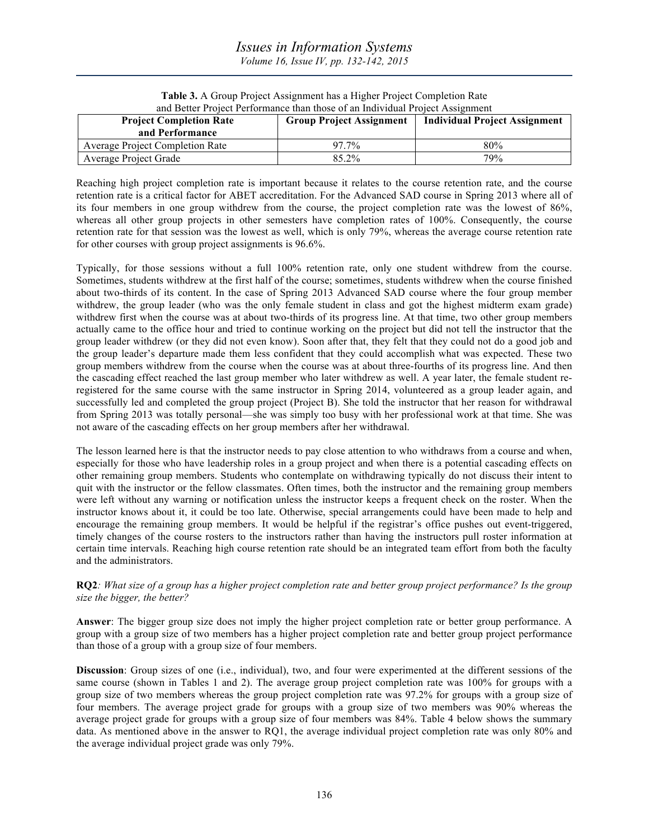# *Issues in Information Systems Volume 16, Issue IV, pp. 132-142, 2015*

| and Better Project Performance than those of an Individual Project Assignment |                                 |                                      |  |  |
|-------------------------------------------------------------------------------|---------------------------------|--------------------------------------|--|--|
| <b>Project Completion Rate</b>                                                | <b>Group Project Assignment</b> | <b>Individual Project Assignment</b> |  |  |
| and Performance                                                               |                                 |                                      |  |  |
| <b>Average Project Completion Rate</b>                                        | 97.7%                           | 80%                                  |  |  |
| Average Project Grade                                                         | 85.2%                           | 79%                                  |  |  |

**Table 3.** A Group Project Assignment has a Higher Project Completion Rate

Reaching high project completion rate is important because it relates to the course retention rate, and the course retention rate is a critical factor for ABET accreditation. For the Advanced SAD course in Spring 2013 where all of its four members in one group withdrew from the course, the project completion rate was the lowest of 86%, whereas all other group projects in other semesters have completion rates of 100%. Consequently, the course retention rate for that session was the lowest as well, which is only 79%, whereas the average course retention rate for other courses with group project assignments is 96.6%.

Typically, for those sessions without a full 100% retention rate, only one student withdrew from the course. Sometimes, students withdrew at the first half of the course; sometimes, students withdrew when the course finished about two-thirds of its content. In the case of Spring 2013 Advanced SAD course where the four group member withdrew, the group leader (who was the only female student in class and got the highest midterm exam grade) withdrew first when the course was at about two-thirds of its progress line. At that time, two other group members actually came to the office hour and tried to continue working on the project but did not tell the instructor that the group leader withdrew (or they did not even know). Soon after that, they felt that they could not do a good job and the group leader's departure made them less confident that they could accomplish what was expected. These two group members withdrew from the course when the course was at about three-fourths of its progress line. And then the cascading effect reached the last group member who later withdrew as well. A year later, the female student reregistered for the same course with the same instructor in Spring 2014, volunteered as a group leader again, and successfully led and completed the group project (Project B). She told the instructor that her reason for withdrawal from Spring 2013 was totally personal—she was simply too busy with her professional work at that time. She was not aware of the cascading effects on her group members after her withdrawal.

The lesson learned here is that the instructor needs to pay close attention to who withdraws from a course and when, especially for those who have leadership roles in a group project and when there is a potential cascading effects on other remaining group members. Students who contemplate on withdrawing typically do not discuss their intent to quit with the instructor or the fellow classmates. Often times, both the instructor and the remaining group members were left without any warning or notification unless the instructor keeps a frequent check on the roster. When the instructor knows about it, it could be too late. Otherwise, special arrangements could have been made to help and encourage the remaining group members. It would be helpful if the registrar's office pushes out event-triggered, timely changes of the course rosters to the instructors rather than having the instructors pull roster information at certain time intervals. Reaching high course retention rate should be an integrated team effort from both the faculty and the administrators.

**RQ2***: What size of a group has a higher project completion rate and better group project performance? Is the group size the bigger, the better?*

**Answer**: The bigger group size does not imply the higher project completion rate or better group performance. A group with a group size of two members has a higher project completion rate and better group project performance than those of a group with a group size of four members.

**Discussion**: Group sizes of one (i.e., individual), two, and four were experimented at the different sessions of the same course (shown in Tables 1 and 2). The average group project completion rate was 100% for groups with a group size of two members whereas the group project completion rate was 97.2% for groups with a group size of four members. The average project grade for groups with a group size of two members was 90% whereas the average project grade for groups with a group size of four members was 84%. Table 4 below shows the summary data. As mentioned above in the answer to RQ1, the average individual project completion rate was only 80% and the average individual project grade was only 79%.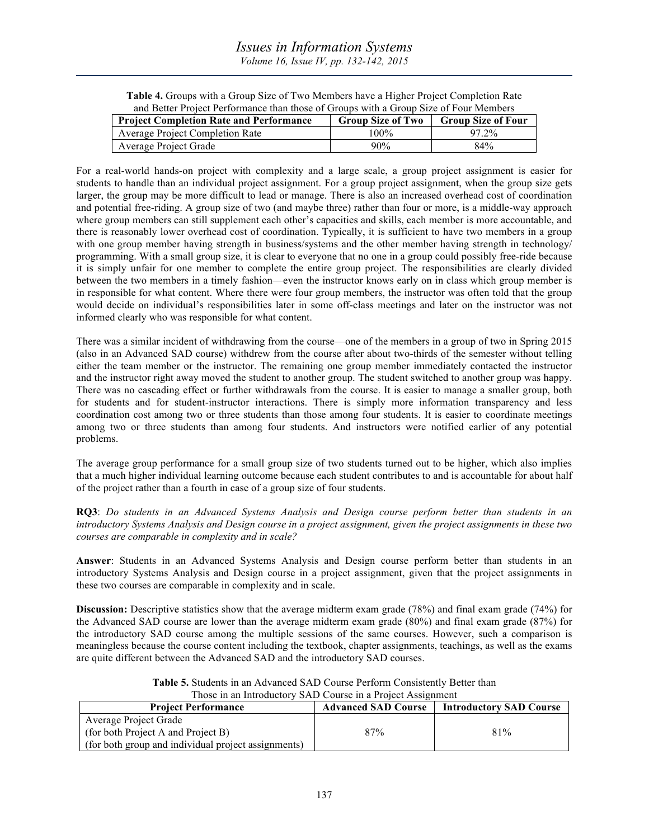**Table 4.** Groups with a Group Size of Two Members have a Higher Project Completion Rate and Better Project Performance than those of Groups with a Group Size of Four Members

| and Detter Troject I errormance than those of Groups with a Group size of Fear Memoers |                          |                           |  |
|----------------------------------------------------------------------------------------|--------------------------|---------------------------|--|
| <b>Project Completion Rate and Performance</b>                                         | <b>Group Size of Two</b> | <b>Group Size of Four</b> |  |
| <b>Average Project Completion Rate</b>                                                 | 100%                     | $97.2\%$                  |  |
| Average Project Grade                                                                  | $90\%$                   | 84%                       |  |

For a real-world hands-on project with complexity and a large scale, a group project assignment is easier for students to handle than an individual project assignment. For a group project assignment, when the group size gets larger, the group may be more difficult to lead or manage. There is also an increased overhead cost of coordination and potential free-riding. A group size of two (and maybe three) rather than four or more, is a middle-way approach where group members can still supplement each other's capacities and skills, each member is more accountable, and there is reasonably lower overhead cost of coordination. Typically, it is sufficient to have two members in a group with one group member having strength in business/systems and the other member having strength in technology/ programming. With a small group size, it is clear to everyone that no one in a group could possibly free-ride because it is simply unfair for one member to complete the entire group project. The responsibilities are clearly divided between the two members in a timely fashion—even the instructor knows early on in class which group member is in responsible for what content. Where there were four group members, the instructor was often told that the group would decide on individual's responsibilities later in some off-class meetings and later on the instructor was not informed clearly who was responsible for what content.

There was a similar incident of withdrawing from the course—one of the members in a group of two in Spring 2015 (also in an Advanced SAD course) withdrew from the course after about two-thirds of the semester without telling either the team member or the instructor. The remaining one group member immediately contacted the instructor and the instructor right away moved the student to another group. The student switched to another group was happy. There was no cascading effect or further withdrawals from the course. It is easier to manage a smaller group, both for students and for student-instructor interactions. There is simply more information transparency and less coordination cost among two or three students than those among four students. It is easier to coordinate meetings among two or three students than among four students. And instructors were notified earlier of any potential problems.

The average group performance for a small group size of two students turned out to be higher, which also implies that a much higher individual learning outcome because each student contributes to and is accountable for about half of the project rather than a fourth in case of a group size of four students.

**RQ3**: *Do students in an Advanced Systems Analysis and Design course perform better than students in an introductory Systems Analysis and Design course in a project assignment, given the project assignments in these two courses are comparable in complexity and in scale?*

**Answer**: Students in an Advanced Systems Analysis and Design course perform better than students in an introductory Systems Analysis and Design course in a project assignment, given that the project assignments in these two courses are comparable in complexity and in scale.

**Discussion:** Descriptive statistics show that the average midterm exam grade (78%) and final exam grade (74%) for the Advanced SAD course are lower than the average midterm exam grade (80%) and final exam grade (87%) for the introductory SAD course among the multiple sessions of the same courses. However, such a comparison is meaningless because the course content including the textbook, chapter assignments, teachings, as well as the exams are quite different between the Advanced SAD and the introductory SAD courses.

| Those in an Introductory SAD Course in a Project Assignment |                            |                                |  |  |
|-------------------------------------------------------------|----------------------------|--------------------------------|--|--|
| <b>Project Performance</b>                                  | <b>Advanced SAD Course</b> | <b>Introductory SAD Course</b> |  |  |
| Average Project Grade                                       |                            |                                |  |  |
| (for both Project A and Project B)                          | 87%                        | 81%                            |  |  |
| (for both group and individual project assignments)         |                            |                                |  |  |

**Table 5.** Students in an Advanced SAD Course Perform Consistently Better than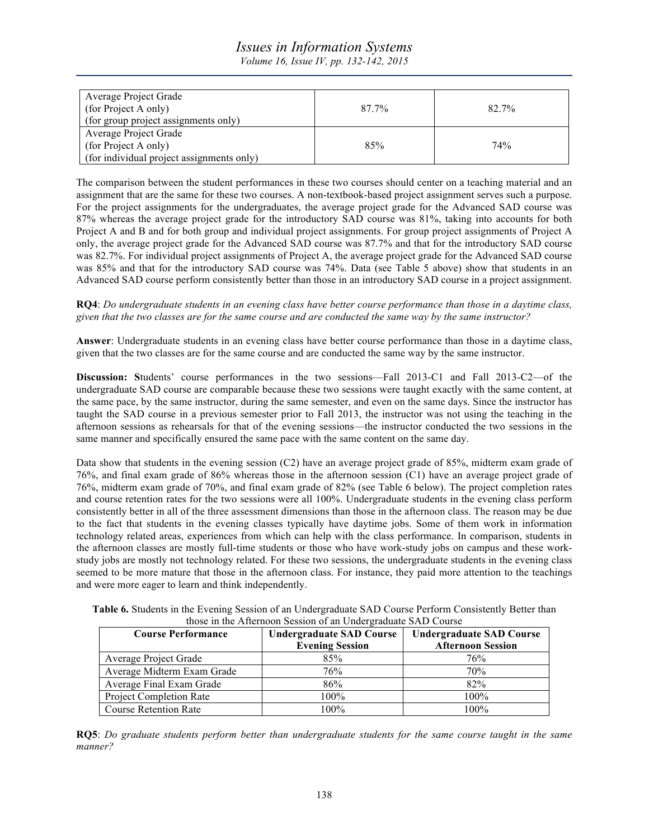# *Issues in Information Systems*

*Volume 16, Issue IV, pp. 132-142, 2015*

| Average Project Grade                     |       |       |
|-------------------------------------------|-------|-------|
| (for Project A only)                      | 87.7% | 82.7% |
| (for group project assignments only)      |       |       |
| Average Project Grade                     |       |       |
| (for Project A only)                      | 85%   | 74%   |
| (for individual project assignments only) |       |       |

The comparison between the student performances in these two courses should center on a teaching material and an assignment that are the same for these two courses. A non-textbook-based project assignment serves such a purpose. For the project assignments for the undergraduates, the average project grade for the Advanced SAD course was 87% whereas the average project grade for the introductory SAD course was 81%, taking into accounts for both Project A and B and for both group and individual project assignments. For group project assignments of Project A only, the average project grade for the Advanced SAD course was 87.7% and that for the introductory SAD course was 82.7%. For individual project assignments of Project A, the average project grade for the Advanced SAD course was 85% and that for the introductory SAD course was 74%. Data (see Table 5 above) show that students in an Advanced SAD course perform consistently better than those in an introductory SAD course in a project assignment.

**RQ4**: *Do undergraduate students in an evening class have better course performance than those in a daytime class, given that the two classes are for the same course and are conducted the same way by the same instructor?*

**Answer**: Undergraduate students in an evening class have better course performance than those in a daytime class, given that the two classes are for the same course and are conducted the same way by the same instructor.

**Discussion:** Students' course performances in the two sessions—Fall 2013-C1 and Fall 2013-C2—of the undergraduate SAD course are comparable because these two sessions were taught exactly with the same content, at the same pace, by the same instructor, during the same semester, and even on the same days. Since the instructor has taught the SAD course in a previous semester prior to Fall 2013, the instructor was not using the teaching in the afternoon sessions as rehearsals for that of the evening sessions—the instructor conducted the two sessions in the same manner and specifically ensured the same pace with the same content on the same day.

Data show that students in the evening session (C2) have an average project grade of 85%, midterm exam grade of 76%, and final exam grade of 86% whereas those in the afternoon session (C1) have an average project grade of 76%, midterm exam grade of 70%, and final exam grade of 82% (see Table 6 below). The project completion rates and course retention rates for the two sessions were all 100%. Undergraduate students in the evening class perform consistently better in all of the three assessment dimensions than those in the afternoon class. The reason may be due to the fact that students in the evening classes typically have daytime jobs. Some of them work in information technology related areas, experiences from which can help with the class performance. In comparison, students in the afternoon classes are mostly full-time students or those who have work-study jobs on campus and these workstudy jobs are mostly not technology related. For these two sessions, the undergraduate students in the evening class seemed to be more mature that those in the afternoon class. For instance, they paid more attention to the teachings and were more eager to learn and think independently.

| those in the Afternoon Session of an Undergraduate SAD Course |                                 |                                 |  |  |
|---------------------------------------------------------------|---------------------------------|---------------------------------|--|--|
| <b>Course Performance</b>                                     | <b>Undergraduate SAD Course</b> | <b>Undergraduate SAD Course</b> |  |  |
|                                                               | <b>Evening Session</b>          | <b>Afternoon Session</b>        |  |  |
| Average Project Grade                                         | 85%                             | 76%                             |  |  |
| Average Midterm Exam Grade                                    | 76%                             | 70%                             |  |  |
| Average Final Exam Grade                                      | 86%                             | 82%                             |  |  |
| Project Completion Rate                                       | 100%                            | $100\%$                         |  |  |

**Table 6.** Students in the Evening Session of an Undergraduate SAD Course Perform Consistently Better than those in the Afternoon Session of an Undergraduate SAD Course

**RQ5**: *Do graduate students perform better than undergraduate students for the same course taught in the same manner?*

Course Retention Rate 100% 100% 100%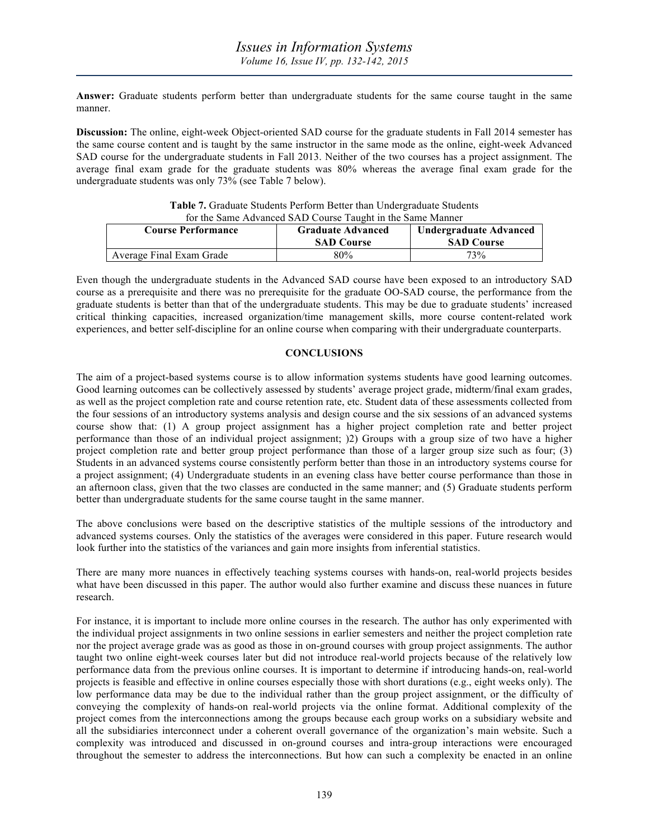**Answer:** Graduate students perform better than undergraduate students for the same course taught in the same manner.

**Discussion:** The online, eight-week Object-oriented SAD course for the graduate students in Fall 2014 semester has the same course content and is taught by the same instructor in the same mode as the online, eight-week Advanced SAD course for the undergraduate students in Fall 2013. Neither of the two courses has a project assignment. The average final exam grade for the graduate students was 80% whereas the average final exam grade for the undergraduate students was only 73% (see Table 7 below).

| Tor the Same Advanced SAD Course Taught in the Same Manner |                                               |                                             |  |
|------------------------------------------------------------|-----------------------------------------------|---------------------------------------------|--|
| <b>Course Performance</b>                                  | <b>Graduate Advanced</b><br><b>SAD Course</b> | Undergraduate Advanced<br><b>SAD Course</b> |  |
| Average Final Exam Grade                                   | 80%                                           | 73%                                         |  |

**Table 7.** Graduate Students Perform Better than Undergraduate Students for the Same Advanced SAD Course Taught in the Same Manner

Even though the undergraduate students in the Advanced SAD course have been exposed to an introductory SAD course as a prerequisite and there was no prerequisite for the graduate OO-SAD course, the performance from the graduate students is better than that of the undergraduate students. This may be due to graduate students' increased critical thinking capacities, increased organization/time management skills, more course content-related work experiences, and better self-discipline for an online course when comparing with their undergraduate counterparts.

## **CONCLUSIONS**

The aim of a project-based systems course is to allow information systems students have good learning outcomes. Good learning outcomes can be collectively assessed by students' average project grade, midterm/final exam grades, as well as the project completion rate and course retention rate, etc. Student data of these assessments collected from the four sessions of an introductory systems analysis and design course and the six sessions of an advanced systems course show that: (1) A group project assignment has a higher project completion rate and better project performance than those of an individual project assignment; )2) Groups with a group size of two have a higher project completion rate and better group project performance than those of a larger group size such as four; (3) Students in an advanced systems course consistently perform better than those in an introductory systems course for a project assignment; (4) Undergraduate students in an evening class have better course performance than those in an afternoon class, given that the two classes are conducted in the same manner; and (5) Graduate students perform better than undergraduate students for the same course taught in the same manner.

The above conclusions were based on the descriptive statistics of the multiple sessions of the introductory and advanced systems courses. Only the statistics of the averages were considered in this paper. Future research would look further into the statistics of the variances and gain more insights from inferential statistics.

There are many more nuances in effectively teaching systems courses with hands-on, real-world projects besides what have been discussed in this paper. The author would also further examine and discuss these nuances in future research.

For instance, it is important to include more online courses in the research. The author has only experimented with the individual project assignments in two online sessions in earlier semesters and neither the project completion rate nor the project average grade was as good as those in on-ground courses with group project assignments. The author taught two online eight-week courses later but did not introduce real-world projects because of the relatively low performance data from the previous online courses. It is important to determine if introducing hands-on, real-world projects is feasible and effective in online courses especially those with short durations (e.g., eight weeks only). The low performance data may be due to the individual rather than the group project assignment, or the difficulty of conveying the complexity of hands-on real-world projects via the online format. Additional complexity of the project comes from the interconnections among the groups because each group works on a subsidiary website and all the subsidiaries interconnect under a coherent overall governance of the organization's main website. Such a complexity was introduced and discussed in on-ground courses and intra-group interactions were encouraged throughout the semester to address the interconnections. But how can such a complexity be enacted in an online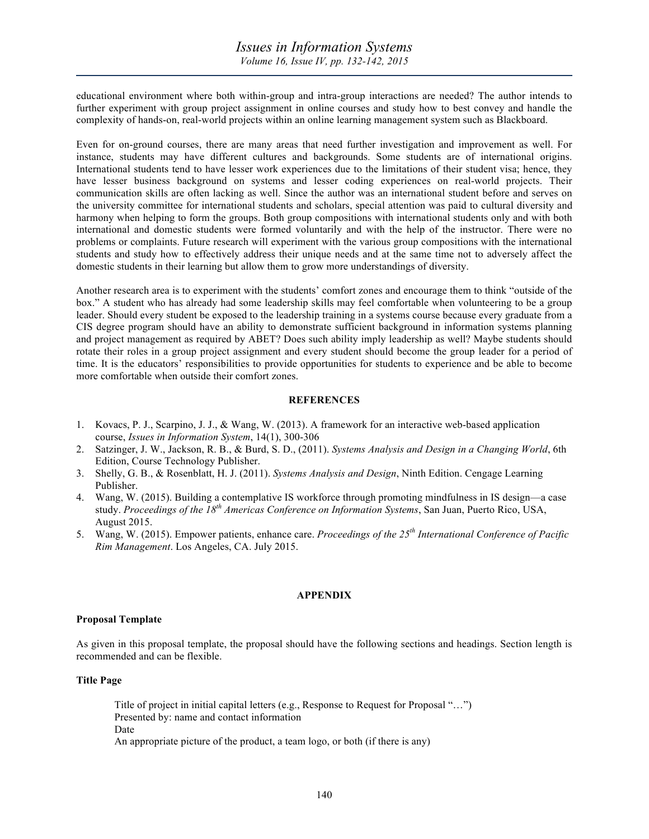educational environment where both within-group and intra-group interactions are needed? The author intends to further experiment with group project assignment in online courses and study how to best convey and handle the complexity of hands-on, real-world projects within an online learning management system such as Blackboard.

Even for on-ground courses, there are many areas that need further investigation and improvement as well. For instance, students may have different cultures and backgrounds. Some students are of international origins. International students tend to have lesser work experiences due to the limitations of their student visa; hence, they have lesser business background on systems and lesser coding experiences on real-world projects. Their communication skills are often lacking as well. Since the author was an international student before and serves on the university committee for international students and scholars, special attention was paid to cultural diversity and harmony when helping to form the groups. Both group compositions with international students only and with both international and domestic students were formed voluntarily and with the help of the instructor. There were no problems or complaints. Future research will experiment with the various group compositions with the international students and study how to effectively address their unique needs and at the same time not to adversely affect the domestic students in their learning but allow them to grow more understandings of diversity.

Another research area is to experiment with the students' comfort zones and encourage them to think "outside of the box." A student who has already had some leadership skills may feel comfortable when volunteering to be a group leader. Should every student be exposed to the leadership training in a systems course because every graduate from a CIS degree program should have an ability to demonstrate sufficient background in information systems planning and project management as required by ABET? Does such ability imply leadership as well? Maybe students should rotate their roles in a group project assignment and every student should become the group leader for a period of time. It is the educators' responsibilities to provide opportunities for students to experience and be able to become more comfortable when outside their comfort zones.

## **REFERENCES**

- 1. Kovacs, P. J., Scarpino, J. J., & Wang, W. (2013). A framework for an interactive web-based application course, *Issues in Information System*, 14(1), 300-306
- 2. Satzinger, J. W., Jackson, R. B., & Burd, S. D., (2011). *Systems Analysis and Design in a Changing World*, 6th Edition, Course Technology Publisher.
- 3. Shelly, G. B., & Rosenblatt, H. J. (2011). *Systems Analysis and Design*, Ninth Edition. Cengage Learning Publisher.
- 4. Wang, W. (2015). Building a contemplative IS workforce through promoting mindfulness in IS design—a case study. *Proceedings of the 18th Americas Conference on Information Systems*, San Juan, Puerto Rico, USA, August 2015.
- 5. Wang, W. (2015). Empower patients, enhance care. *Proceedings of the 25th International Conference of Pacific Rim Management*. Los Angeles, CA. July 2015.

## **APPENDIX**

#### **Proposal Template**

As given in this proposal template, the proposal should have the following sections and headings. Section length is recommended and can be flexible.

## **Title Page**

Title of project in initial capital letters (e.g., Response to Request for Proposal "…") Presented by: name and contact information Date An appropriate picture of the product, a team logo, or both (if there is any)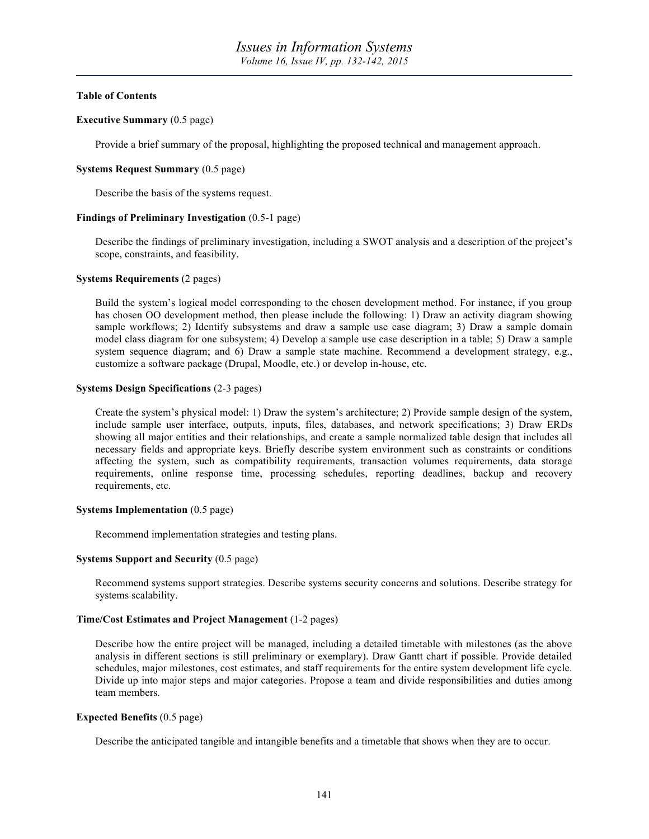## **Table of Contents**

## **Executive Summary** (0.5 page)

Provide a brief summary of the proposal, highlighting the proposed technical and management approach.

## **Systems Request Summary** (0.5 page)

Describe the basis of the systems request.

## **Findings of Preliminary Investigation** (0.5-1 page)

Describe the findings of preliminary investigation, including a SWOT analysis and a description of the project's scope, constraints, and feasibility.

#### **Systems Requirements** (2 pages)

Build the system's logical model corresponding to the chosen development method. For instance, if you group has chosen OO development method, then please include the following: 1) Draw an activity diagram showing sample workflows; 2) Identify subsystems and draw a sample use case diagram; 3) Draw a sample domain model class diagram for one subsystem; 4) Develop a sample use case description in a table; 5) Draw a sample system sequence diagram; and 6) Draw a sample state machine. Recommend a development strategy, e.g., customize a software package (Drupal, Moodle, etc.) or develop in-house, etc.

## **Systems Design Specifications** (2-3 pages)

Create the system's physical model: 1) Draw the system's architecture; 2) Provide sample design of the system, include sample user interface, outputs, inputs, files, databases, and network specifications; 3) Draw ERDs showing all major entities and their relationships, and create a sample normalized table design that includes all necessary fields and appropriate keys. Briefly describe system environment such as constraints or conditions affecting the system, such as compatibility requirements, transaction volumes requirements, data storage requirements, online response time, processing schedules, reporting deadlines, backup and recovery requirements, etc.

#### **Systems Implementation** (0.5 page)

Recommend implementation strategies and testing plans.

#### **Systems Support and Security** (0.5 page)

Recommend systems support strategies. Describe systems security concerns and solutions. Describe strategy for systems scalability.

## **Time/Cost Estimates and Project Management** (1-2 pages)

Describe how the entire project will be managed, including a detailed timetable with milestones (as the above analysis in different sections is still preliminary or exemplary). Draw Gantt chart if possible. Provide detailed schedules, major milestones, cost estimates, and staff requirements for the entire system development life cycle. Divide up into major steps and major categories. Propose a team and divide responsibilities and duties among team members.

#### **Expected Benefits** (0.5 page)

Describe the anticipated tangible and intangible benefits and a timetable that shows when they are to occur.